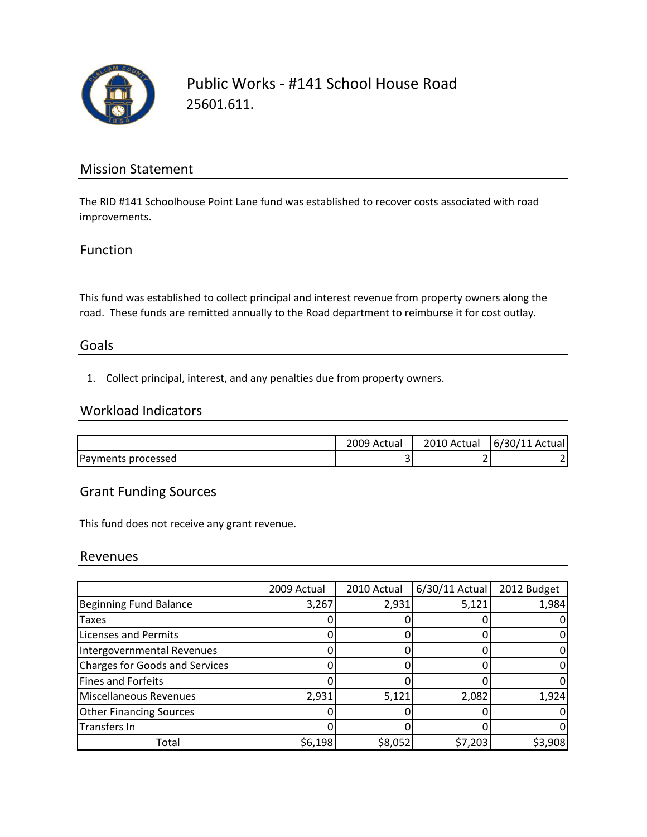

Public Works ‐ #141 School House Road 25601.611.

## Mission Statement

The RID #141 Schoolhouse Point Lane fund was established to recover costs associated with road improvements.

### Function

This fund was established to collect principal and interest revenue from property owners along the road. These funds are remitted annually to the Road department to reimburse it for cost outlay.

#### Goals

1. Collect principal, interest, and any penalties due from property owners.

## Workload Indicators

|                    | 2009 Actual | 2010 Actual | 6/30/11 Actual |
|--------------------|-------------|-------------|----------------|
| Payments processed | ້           |             |                |

## Grant Funding Sources

This fund does not receive any grant revenue.

#### Revenues

|                                       | 2009 Actual | 2010 Actual | $6/30/11$ Actual | 2012 Budget |
|---------------------------------------|-------------|-------------|------------------|-------------|
| <b>Beginning Fund Balance</b>         | 3,267       | 2,931       | 5,121            | 1,984       |
| Taxes                                 |             |             |                  |             |
| Licenses and Permits                  |             |             |                  |             |
| Intergovernmental Revenues            |             |             |                  |             |
| <b>Charges for Goods and Services</b> |             |             |                  |             |
| Fines and Forfeits                    |             |             |                  |             |
| Miscellaneous Revenues                | 2,931       | 5,121       | 2,082            | 1,924       |
| <b>Other Financing Sources</b>        |             |             |                  |             |
| <b>Transfers In</b>                   |             |             |                  |             |
| Total                                 | \$6,198     | \$8,052     | \$7,203          | \$3,908     |